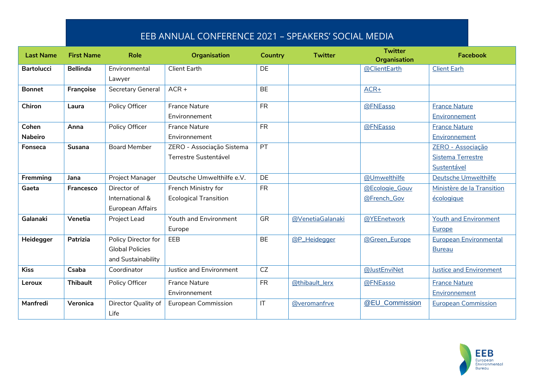## EEB ANNUAL CONFERENCE 2021 – SPEAKERS' SOCIAL MEDIA

| <b>Last Name</b>  | <b>First Name</b> | <b>Role</b>            | <b>Organisation</b>          | Country                | <b>Twitter</b>   | <b>Twitter</b><br><b>Organisation</b> | <b>Facebook</b>                |
|-------------------|-------------------|------------------------|------------------------------|------------------------|------------------|---------------------------------------|--------------------------------|
| <b>Bartolucci</b> | <b>Bellinda</b>   | Environmental          | <b>Client Earth</b>          | <b>DE</b>              |                  | @ClientEarth                          | <b>Client Earh</b>             |
|                   |                   | Lawyer                 |                              |                        |                  |                                       |                                |
| <b>Bonnet</b>     | Françoise         | Secretary General      | $ACR +$                      | <b>BE</b>              |                  | $ACR+$                                |                                |
| Chiron            | Laura             | Policy Officer         | <b>France Nature</b>         | <b>FR</b>              |                  | @FNEasso                              | <b>France Nature</b>           |
|                   |                   |                        | Environnement                |                        |                  |                                       | Environnement                  |
| Cohen             | Anna              | Policy Officer         | <b>France Nature</b>         | <b>FR</b>              |                  | @FNEasso                              | <b>France Nature</b>           |
| <b>Nabeiro</b>    |                   |                        | Environnement                |                        |                  |                                       | Environnement                  |
| Fonseca           | <b>Susana</b>     | <b>Board Member</b>    | ZERO - Associação Sistema    | PT                     |                  |                                       | ZERO - Associação              |
|                   |                   |                        | Terrestre Sustentável        |                        |                  |                                       | Sistema Terrestre              |
|                   |                   |                        |                              |                        |                  |                                       | Sustentável                    |
| Fremming          | Jana              | Project Manager        | Deutsche Umwelthilfe e.V.    | <b>DE</b>              |                  | @Umwelthilfe                          | Deutsche Umwelthilfe           |
| Gaeta             | Francesco         | Director of            | French Ministry for          | <b>FR</b>              |                  | @Ecologie_Gouv                        | Ministère de la Transition     |
|                   |                   | International &        | <b>Ecological Transition</b> |                        |                  | @French_Gov                           | écologique                     |
|                   |                   | European Affairs       |                              |                        |                  |                                       |                                |
| Galanaki          | Venetia           | Project Lead           | Youth and Environment        | GR                     | @VenetiaGalanaki | @YEEnetwork                           | <b>Youth and Environment</b>   |
|                   |                   |                        | Europe                       |                        |                  |                                       | Europe                         |
| Heidegger         | Patrizia          | Policy Director for    | EEB                          | <b>BE</b>              | @P_Heidegger     | @Green_Europe                         | <b>European Environmental</b>  |
|                   |                   | <b>Global Policies</b> |                              |                        |                  |                                       | <b>Bureau</b>                  |
|                   |                   | and Sustainability     |                              |                        |                  |                                       |                                |
| <b>Kiss</b>       | Csaba             | Coordinator            | Justice and Environment      | <b>CZ</b>              |                  | @JustEnviNet                          | <b>Justice and Environment</b> |
| Leroux            | <b>Thibault</b>   | Policy Officer         | <b>France Nature</b>         | <b>FR</b>              | @thibault_lerx   | @FNEasso                              | <b>France Nature</b>           |
|                   |                   |                        | Environnement                |                        |                  |                                       | Environnement                  |
| Manfredi          | Veronica          | Director Quality of    | <b>European Commission</b>   | $\mathsf{I}\mathsf{T}$ | @veromanfrve     | @EU Commission                        | <b>European Commission</b>     |
|                   |                   | Life                   |                              |                        |                  |                                       |                                |